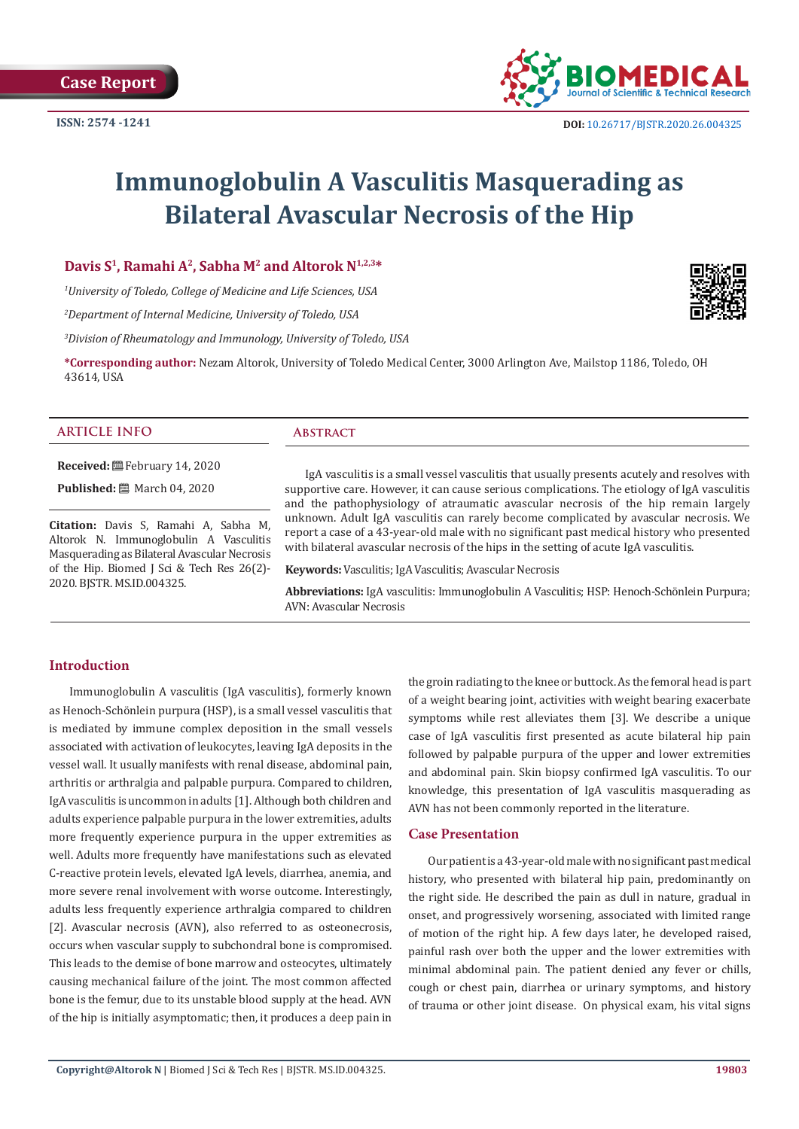

# **Immunoglobulin A Vasculitis Masquerading as Bilateral Avascular Necrosis of the Hip**

# **Davis S1, Ramahi A2, Sabha M2 and Altorok N1,2,3\***

*1 University of Toledo, College of Medicine and Life Sciences, USA*

*2 Department of Internal Medicine, University of Toledo, USA*

*3 Division of Rheumatology and Immunology, University of Toledo, USA*

**\*Corresponding author:** Nezam Altorok, University of Toledo Medical Center, 3000 Arlington Ave, Mailstop 1186, Toledo, OH 43614, USA

#### **ARTICLE INFO Abstract**

**Received:** February 14, 2020

**Published:** ■ March 04, 2020

**Citation:** Davis S, Ramahi A, Sabha M, Altorok N. Immunoglobulin A Vasculitis Masquerading as Bilateral Avascular Necrosis of the Hip. Biomed J Sci & Tech Res 26(2)- 2020. BJSTR. MS.ID.004325.

IgA vasculitis is a small vessel vasculitis that usually presents acutely and resolves with supportive care. However, it can cause serious complications. The etiology of IgA vasculitis and the pathophysiology of atraumatic avascular necrosis of the hip remain largely unknown. Adult IgA vasculitis can rarely become complicated by avascular necrosis. We report a case of a 43-year-old male with no significant past medical history who presented with bilateral avascular necrosis of the hips in the setting of acute IgA vasculitis.

**Keywords:** Vasculitis; IgA Vasculitis; Avascular Necrosis

**Abbreviations:** IgA vasculitis: Immunoglobulin A Vasculitis; HSP: Henoch-Schönlein Purpura; AVN: Avascular Necrosis

### **Introduction**

Immunoglobulin A vasculitis (IgA vasculitis), formerly known as Henoch-Schönlein purpura (HSP), is a small vessel vasculitis that is mediated by immune complex deposition in the small vessels associated with activation of leukocytes, leaving IgA deposits in the vessel wall. It usually manifests with renal disease, abdominal pain, arthritis or arthralgia and palpable purpura. Compared to children, IgA vasculitis is uncommon in adults [1]. Although both children and adults experience palpable purpura in the lower extremities, adults more frequently experience purpura in the upper extremities as well. Adults more frequently have manifestations such as elevated C-reactive protein levels, elevated IgA levels, diarrhea, anemia, and more severe renal involvement with worse outcome. Interestingly, adults less frequently experience arthralgia compared to children [2]. Avascular necrosis (AVN), also referred to as osteonecrosis, occurs when vascular supply to subchondral bone is compromised. This leads to the demise of bone marrow and osteocytes, ultimately causing mechanical failure of the joint. The most common affected bone is the femur, due to its unstable blood supply at the head. AVN of the hip is initially asymptomatic; then, it produces a deep pain in

the groin radiating to the knee or buttock. As the femoral head is part of a weight bearing joint, activities with weight bearing exacerbate symptoms while rest alleviates them [3]. We describe a unique case of IgA vasculitis first presented as acute bilateral hip pain followed by palpable purpura of the upper and lower extremities and abdominal pain. Skin biopsy confirmed IgA vasculitis. To our knowledge, this presentation of IgA vasculitis masquerading as AVN has not been commonly reported in the literature.

### **Case Presentation**

Our patient is a 43-year-old male with no significant past medical history, who presented with bilateral hip pain, predominantly on the right side. He described the pain as dull in nature, gradual in onset, and progressively worsening, associated with limited range of motion of the right hip. A few days later, he developed raised, painful rash over both the upper and the lower extremities with minimal abdominal pain. The patient denied any fever or chills, cough or chest pain, diarrhea or urinary symptoms, and history of trauma or other joint disease. On physical exam, his vital signs

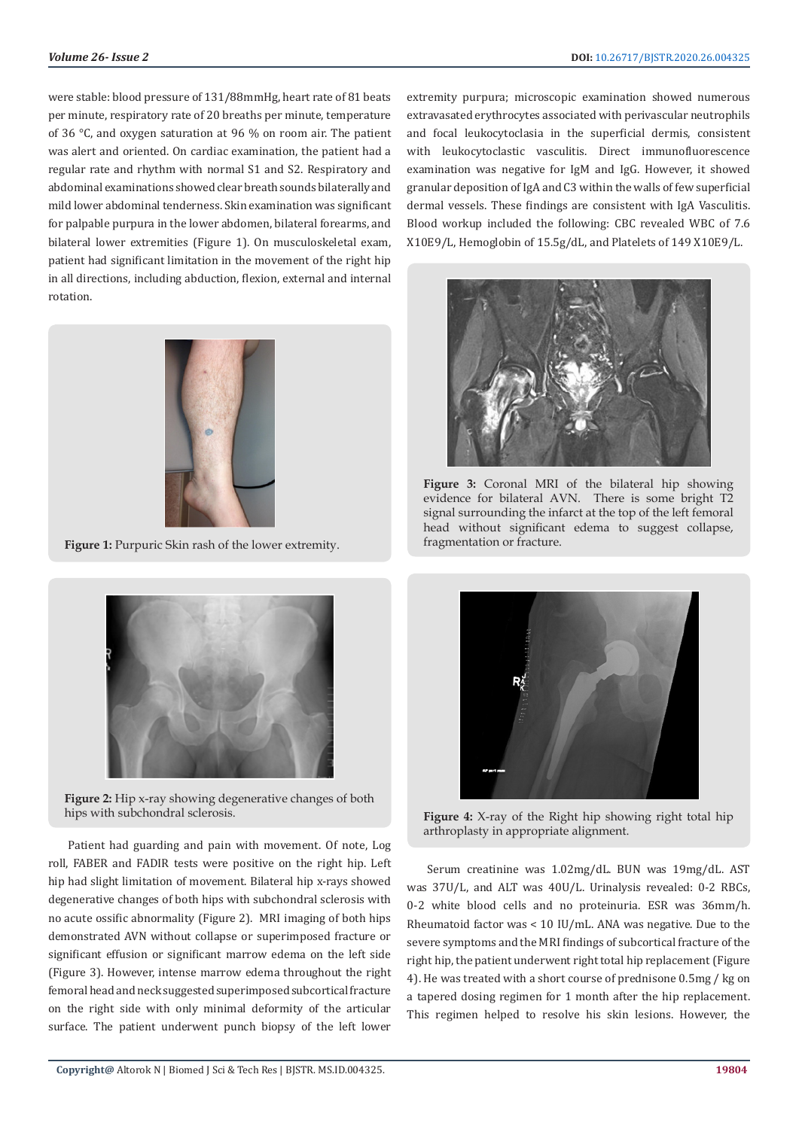were stable: blood pressure of 131/88mmHg, heart rate of 81 beats per minute, respiratory rate of 20 breaths per minute, temperature of 36 °C, and oxygen saturation at 96 % on room air. The patient was alert and oriented. On cardiac examination, the patient had a regular rate and rhythm with normal S1 and S2. Respiratory and abdominal examinations showed clear breath sounds bilaterally and mild lower abdominal tenderness. Skin examination was significant for palpable purpura in the lower abdomen, bilateral forearms, and bilateral lower extremities (Figure 1). On musculoskeletal exam, patient had significant limitation in the movement of the right hip in all directions, including abduction, flexion, external and internal rotation.



**Figure 1:** Purpuric Skin rash of the lower extremity.



**Figure 2:** Hip x-ray showing degenerative changes of both hips with subchondral sclerosis.

Patient had guarding and pain with movement. Of note, Log roll, FABER and FADIR tests were positive on the right hip. Left hip had slight limitation of movement. Bilateral hip x-rays showed degenerative changes of both hips with subchondral sclerosis with no acute ossific abnormality (Figure 2). MRI imaging of both hips demonstrated AVN without collapse or superimposed fracture or significant effusion or significant marrow edema on the left side (Figure 3). However, intense marrow edema throughout the right femoral head and neck suggested superimposed subcortical fracture on the right side with only minimal deformity of the articular surface. The patient underwent punch biopsy of the left lower

extremity purpura; microscopic examination showed numerous extravasated erythrocytes associated with perivascular neutrophils and focal leukocytoclasia in the superficial dermis, consistent with leukocytoclastic vasculitis. Direct immunofluorescence examination was negative for IgM and IgG. However, it showed granular deposition of IgA and C3 within the walls of few superficial dermal vessels. These findings are consistent with IgA Vasculitis. Blood workup included the following: CBC revealed WBC of 7.6 X10E9/L, Hemoglobin of 15.5g/dL, and Platelets of 149 X10E9/L.



**Figure 3:** Coronal MRI of the bilateral hip showing evidence for bilateral AVN. There is some bright T2 signal surrounding the infarct at the top of the left femoral head without significant edema to suggest collapse, fragmentation or fracture.



**Figure 4:** X-ray of the Right hip showing right total hip arthroplasty in appropriate alignment.

Serum creatinine was 1.02mg/dL. BUN was 19mg/dL. AST was 37U/L, and ALT was 40U/L. Urinalysis revealed: 0-2 RBCs, 0-2 white blood cells and no proteinuria. ESR was 36mm/h. Rheumatoid factor was < 10 IU/mL. ANA was negative. Due to the severe symptoms and the MRI findings of subcortical fracture of the right hip, the patient underwent right total hip replacement (Figure 4). He was treated with a short course of prednisone 0.5mg / kg on a tapered dosing regimen for 1 month after the hip replacement. This regimen helped to resolve his skin lesions. However, the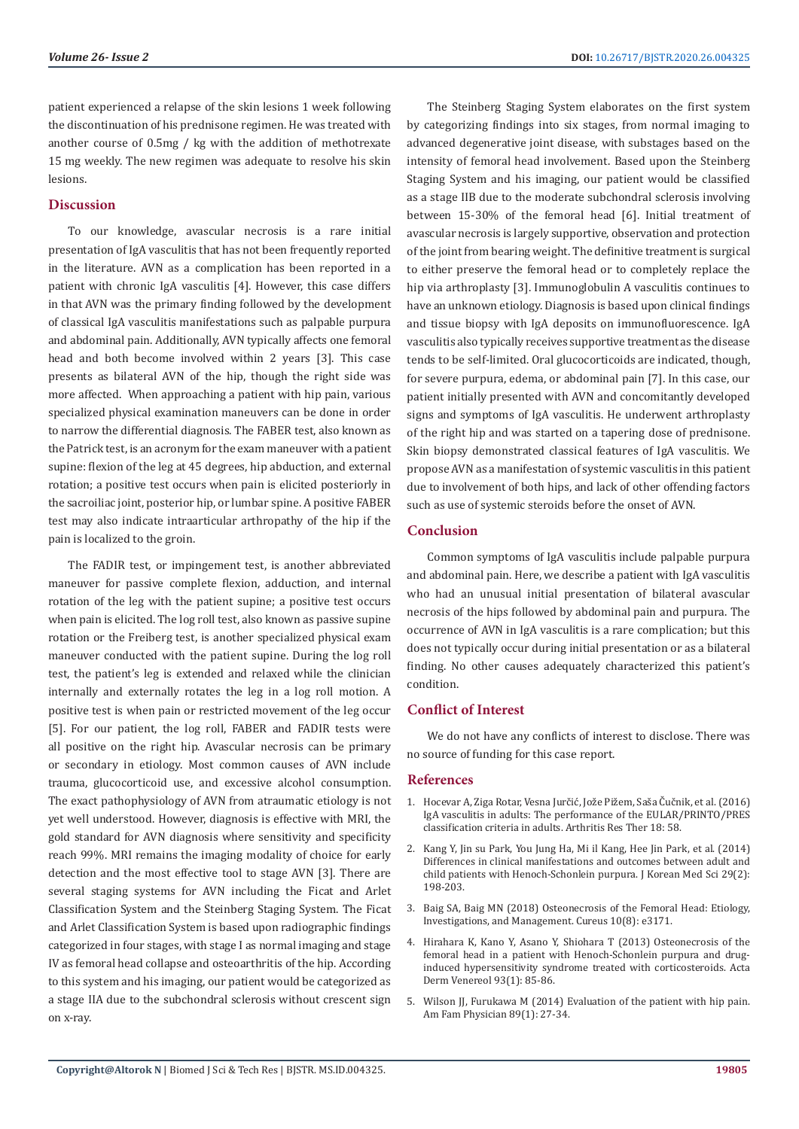patient experienced a relapse of the skin lesions 1 week following the discontinuation of his prednisone regimen. He was treated with another course of 0.5mg / kg with the addition of methotrexate 15 mg weekly. The new regimen was adequate to resolve his skin lesions.

#### **Discussion**

To our knowledge, avascular necrosis is a rare initial presentation of IgA vasculitis that has not been frequently reported in the literature. AVN as a complication has been reported in a patient with chronic IgA vasculitis [4]. However, this case differs in that AVN was the primary finding followed by the development of classical IgA vasculitis manifestations such as palpable purpura and abdominal pain. Additionally, AVN typically affects one femoral head and both become involved within 2 years [3]. This case presents as bilateral AVN of the hip, though the right side was more affected. When approaching a patient with hip pain, various specialized physical examination maneuvers can be done in order to narrow the differential diagnosis. The FABER test, also known as the Patrick test, is an acronym for the exam maneuver with a patient supine: flexion of the leg at 45 degrees, hip abduction, and external rotation; a positive test occurs when pain is elicited posteriorly in the sacroiliac joint, posterior hip, or lumbar spine. A positive FABER test may also indicate intraarticular arthropathy of the hip if the pain is localized to the groin.

The FADIR test, or impingement test, is another abbreviated maneuver for passive complete flexion, adduction, and internal rotation of the leg with the patient supine; a positive test occurs when pain is elicited. The log roll test, also known as passive supine rotation or the Freiberg test, is another specialized physical exam maneuver conducted with the patient supine. During the log roll test, the patient's leg is extended and relaxed while the clinician internally and externally rotates the leg in a log roll motion. A positive test is when pain or restricted movement of the leg occur [5]. For our patient, the log roll, FABER and FADIR tests were all positive on the right hip. Avascular necrosis can be primary or secondary in etiology. Most common causes of AVN include trauma, glucocorticoid use, and excessive alcohol consumption. The exact pathophysiology of AVN from atraumatic etiology is not yet well understood. However, diagnosis is effective with MRI, the gold standard for AVN diagnosis where sensitivity and specificity reach 99%. MRI remains the imaging modality of choice for early detection and the most effective tool to stage AVN [3]. There are several staging systems for AVN including the Ficat and Arlet Classification System and the Steinberg Staging System. The Ficat and Arlet Classification System is based upon radiographic findings categorized in four stages, with stage I as normal imaging and stage IV as femoral head collapse and osteoarthritis of the hip. According to this system and his imaging, our patient would be categorized as a stage IIA due to the subchondral sclerosis without crescent sign on x-ray.

The Steinberg Staging System elaborates on the first system by categorizing findings into six stages, from normal imaging to advanced degenerative joint disease, with substages based on the intensity of femoral head involvement. Based upon the Steinberg Staging System and his imaging, our patient would be classified as a stage IIB due to the moderate subchondral sclerosis involving between 15-30% of the femoral head [6]. Initial treatment of avascular necrosis is largely supportive, observation and protection of the joint from bearing weight. The definitive treatment is surgical to either preserve the femoral head or to completely replace the hip via arthroplasty [3]. Immunoglobulin A vasculitis continues to have an unknown etiology. Diagnosis is based upon clinical findings and tissue biopsy with IgA deposits on immunofluorescence. IgA vasculitis also typically receives supportive treatment as the disease tends to be self-limited. Oral glucocorticoids are indicated, though, for severe purpura, edema, or abdominal pain [7]. In this case, our patient initially presented with AVN and concomitantly developed signs and symptoms of IgA vasculitis. He underwent arthroplasty of the right hip and was started on a tapering dose of prednisone. Skin biopsy demonstrated classical features of IgA vasculitis. We propose AVN as a manifestation of systemic vasculitis in this patient due to involvement of both hips, and lack of other offending factors such as use of systemic steroids before the onset of AVN.

# **Conclusion**

Common symptoms of IgA vasculitis include palpable purpura and abdominal pain. Here, we describe a patient with IgA vasculitis who had an unusual initial presentation of bilateral avascular necrosis of the hips followed by abdominal pain and purpura. The occurrence of AVN in IgA vasculitis is a rare complication; but this does not typically occur during initial presentation or as a bilateral finding. No other causes adequately characterized this patient's condition.

### **Conflict of Interest**

We do not have any conflicts of interest to disclose. There was no source of funding for this case report.

#### **References**

- 1. [Hocevar A, Ziga Rotar, Vesna Jurčić, Jože Pižem, Saša Čučnik, et al. \(2016\)](https://www.ncbi.nlm.nih.gov/pmc/articles/PMC4774143/) [IgA vasculitis in adults: The performance of the EULAR/PRINTO/PRES](https://www.ncbi.nlm.nih.gov/pmc/articles/PMC4774143/) [classification criteria in adults. Arthritis Res Ther 18: 58.](https://www.ncbi.nlm.nih.gov/pmc/articles/PMC4774143/)
- 2. [Kang Y, Jin su Park, You Jung Ha, Mi il Kang, Hee Jin Park, et al. \(2014\)](https://www.ncbi.nlm.nih.gov/pmc/articles/PMC3923997/) [Differences in clinical manifestations and outcomes between adult and](https://www.ncbi.nlm.nih.gov/pmc/articles/PMC3923997/) [child patients with Henoch-Schonlein purpura. J Korean Med Sci 29\(2\):](https://www.ncbi.nlm.nih.gov/pmc/articles/PMC3923997/) [198-203.](https://www.ncbi.nlm.nih.gov/pmc/articles/PMC3923997/)
- 3. [Baig SA, Baig MN \(2018\) Osteonecrosis of the Femoral Head: Etiology,](https://assets.cureus.com/uploads/review_article/pdf/13561/1540227332-20181022-2428-1swnis0.pdf) [Investigations, and Management. Cureus 10\(8\): e3171.](https://assets.cureus.com/uploads/review_article/pdf/13561/1540227332-20181022-2428-1swnis0.pdf)
- 4. [Hirahara K, Kano Y, Asano Y, Shiohara T \(2013\) Osteonecrosis of the](https://www.ncbi.nlm.nih.gov/pubmed/22854786) [femoral head in a patient with Henoch-Schonlein purpura and drug](https://www.ncbi.nlm.nih.gov/pubmed/22854786)[induced hypersensitivity syndrome treated with corticosteroids. Acta](https://www.ncbi.nlm.nih.gov/pubmed/22854786) [Derm Venereol 93\(1\): 85-86.](https://www.ncbi.nlm.nih.gov/pubmed/22854786)
- 5. [Wilson JJ, Furukawa M \(2014\) Evaluation of the patient with hip pain.](https://www.aafp.org/afp/2014/0101/p27.html) [Am Fam Physician 89\(1\): 27-34.](https://www.aafp.org/afp/2014/0101/p27.html)